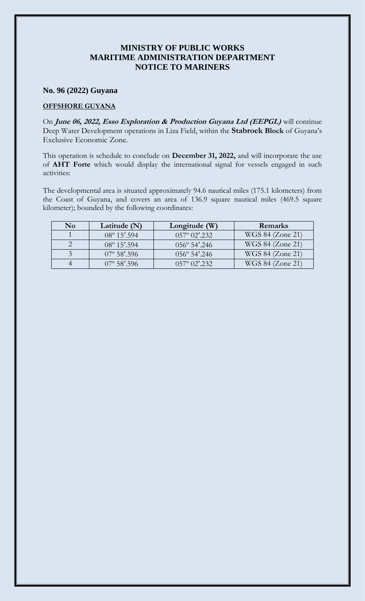## **MINISTRY OF PUBLIC WORKS MARITIME ADMINISTRATION DEPARTMENT NOTICE TO MARINERS**

## **No. 96 (2022) Guyana**

## **OFFSHORE GUYANA**

On **June 06, 2022, Esso Exploration & Production Guyana Ltd (EEPGL)** will continue Deep Water Development operations in Liza Field, within the **Stabroek Block** of Guyana's Exclusive Economic Zone.

This operation is schedule to conclude on **December 31, 2022,** and will incorporate the use of **AHT Forte** which would display the international signal for vessels engaged in such activities:

The developmental area is situated approximately 94.6 nautical miles (175.1 kilometers) from the Coast of Guyana, and covers an area of 136.9 square nautical miles (469.5 square kilometer); bounded by the following coordinates:

| $\bf No$ | Latitude $(N)$        | Longitude $(W)$                      | <b>Remarks</b>   |
|----------|-----------------------|--------------------------------------|------------------|
|          | $08^{\circ} 15'$ .594 | $0.57^{\circ}$ $0.2^{\prime}$ $.232$ | WGS 84 (Zone 21) |
|          | $08^{\circ} 15'$ .594 | $056^{\circ}$ 54'.246                | WGS 84 (Zone 21) |
|          | $07^{\circ}$ 58'.596  | $056^{\circ}$ 54'.246                | WGS 84 (Zone 21) |
|          | $07^{\circ}$ 58'.596  | $0.57^{\circ}$ $0.2^{\prime}$ , 2.32 | WGS 84 (Zone 21) |